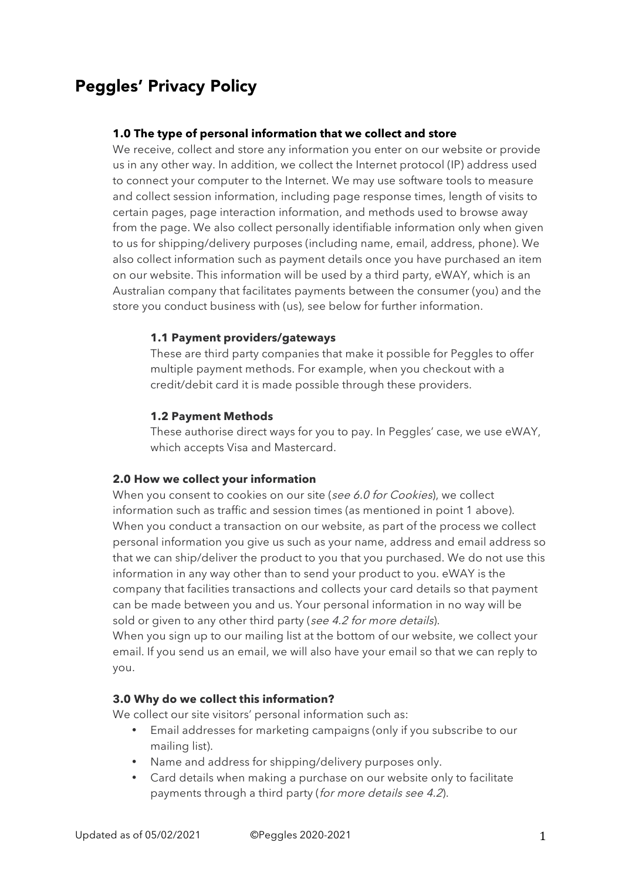# Peggles' Privacy Policy

#### **1.0 The type of personal information that we collect and store**

We receive, collect and store any information you enter on our website or provide us in any other way. In addition, we collect the Internet protocol (IP) address used to connect your computer to the Internet. We may use software tools to measure and collect session information, including page response times, length of visits to certain pages, page interaction information, and methods used to browse away from the page. We also collect personally identifiable information only when given to us for shipping/delivery purposes (including name, email, address, phone). We also collect information such as payment details once you have purchased an item on our website. This information will be used by a third party, eWAY, which is an Australian company that facilitates payments between the consumer (you) and the store you conduct business with (us), see below for further information.

#### **1.1 Payment providers/gateways**

These are third party companies that make it possible for Peggles to offer multiple payment methods. For example, when you checkout with a credit/debit card it is made possible through these providers.

#### **1.2 Payment Methods**

These authorise direct ways for you to pay. In Peggles' case, we use eWAY, which accepts Visa and Mastercard.

#### **2.0 How we collect your information**

When you consent to cookies on our site (see 6.0 for Cookies), we collect information such as traffic and session times (as mentioned in point 1 above). When you conduct a transaction on our website, as part of the process we collect personal information you give us such as your name, address and email address so that we can ship/deliver the product to you that you purchased. We do not use this information in any way other than to send your product to you. eWAY is the company that facilities transactions and collects your card details so that payment can be made between you and us. Your personal information in no way will be sold or given to any other third party (see 4.2 for more details). When you sign up to our mailing list at the bottom of our website, we collect your

email. If you send us an email, we will also have your email so that we can reply to you.

#### **3.0 Why do we collect this information?**

We collect our site visitors' personal information such as:

- Email addresses for marketing campaigns (only if you subscribe to our mailing list).
- Name and address for shipping/delivery purposes only.
- Card details when making a purchase on our website only to facilitate payments through a third party (for more details see 4.2).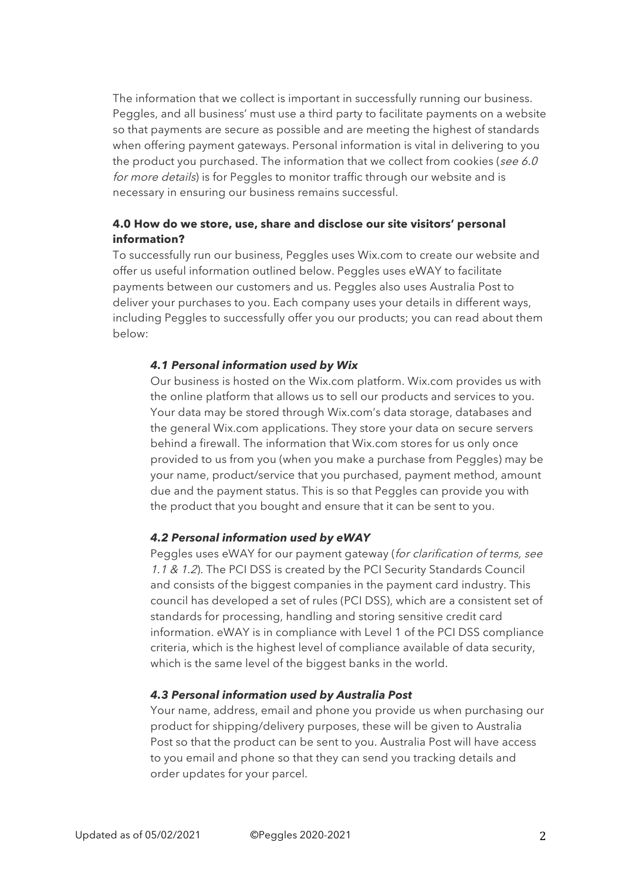The information that we collect is important in successfully running our business. Peggles, and all business' must use a third party to facilitate payments on a website so that payments are secure as possible and are meeting the highest of standards when offering payment gateways. Personal information is vital in delivering to you the product you purchased. The information that we collect from cookies (see 6.0) for more details) is for Peggles to monitor traffic through our website and is necessary in ensuring our business remains successful.

# **4.0 How do we store, use, share and disclose our site visitors' personal information?**

To successfully run our business, Peggles uses Wix.com to create our website and offer us useful information outlined below. Peggles uses eWAY to facilitate payments between our customers and us. Peggles also uses Australia Post to deliver your purchases to you. Each company uses your details in different ways, including Peggles to successfully offer you our products; you can read about them below:

# *4.1 Personal information used by Wix*

Our business is hosted on the Wix.com platform. Wix.com provides us with the online platform that allows us to sell our products and services to you. Your data may be stored through Wix.com's data storage, databases and the general Wix.com applications. They store your data on secure servers behind a firewall. The information that Wix.com stores for us only once provided to us from you (when you make a purchase from Peggles) may be your name, product/service that you purchased, payment method, amount due and the payment status. This is so that Peggles can provide you with the product that you bought and ensure that it can be sent to you.

# *4.2 Personal information used by eWAY*

Peggles uses eWAY for our payment gateway (for clarification of terms, see 1.1 & 1.2). The PCI DSS is created by the PCI Security Standards Council and consists of the biggest companies in the payment card industry. This council has developed a set of rules (PCI DSS), which are a consistent set of standards for processing, handling and storing sensitive credit card information. eWAY is in compliance with Level 1 of the PCI DSS compliance criteria, which is the highest level of compliance available of data security, which is the same level of the biggest banks in the world.

# *4.3 Personal information used by Australia Post*

Your name, address, email and phone you provide us when purchasing our product for shipping/delivery purposes, these will be given to Australia Post so that the product can be sent to you. Australia Post will have access to you email and phone so that they can send you tracking details and order updates for your parcel.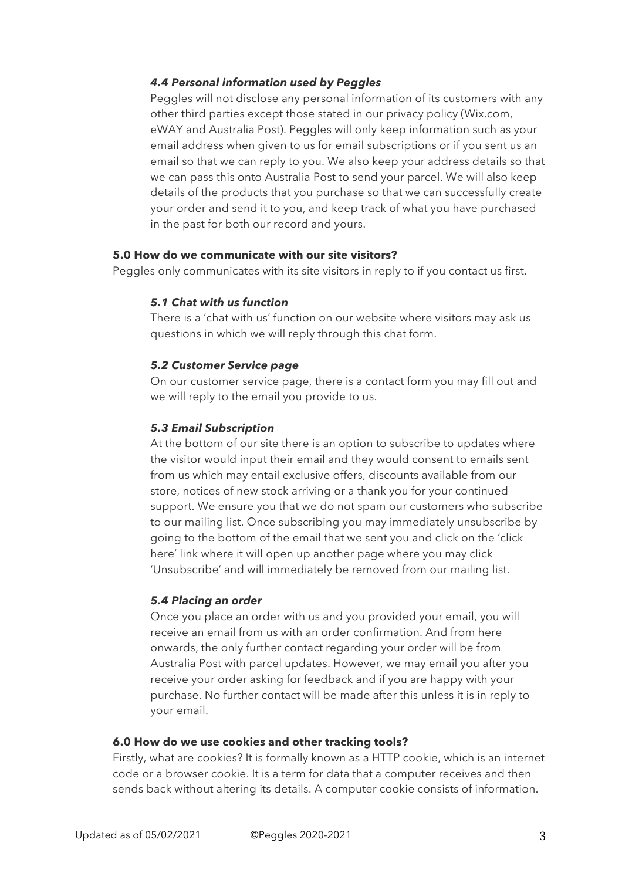# *4.4 Personal information used by Peggles*

Peggles will not disclose any personal information of its customers with any other third parties except those stated in our privacy policy (Wix.com, eWAY and Australia Post). Peggles will only keep information such as your email address when given to us for email subscriptions or if you sent us an email so that we can reply to you. We also keep your address details so that we can pass this onto Australia Post to send your parcel. We will also keep details of the products that you purchase so that we can successfully create your order and send it to you, and keep track of what you have purchased in the past for both our record and yours.

# **5.0 How do we communicate with our site visitors?**

Peggles only communicates with its site visitors in reply to if you contact us first.

# *5.1 Chat with us function*

There is a 'chat with us' function on our website where visitors may ask us questions in which we will reply through this chat form.

# *5.2 Customer Service page*

On our customer service page, there is a contact form you may fill out and we will reply to the email you provide to us.

#### *5.3 Email Subscription*

At the bottom of our site there is an option to subscribe to updates where the visitor would input their email and they would consent to emails sent from us which may entail exclusive offers, discounts available from our store, notices of new stock arriving or a thank you for your continued support. We ensure you that we do not spam our customers who subscribe to our mailing list. Once subscribing you may immediately unsubscribe by going to the bottom of the email that we sent you and click on the 'click here' link where it will open up another page where you may click 'Unsubscribe' and will immediately be removed from our mailing list.

# *5.4 Placing an order*

Once you place an order with us and you provided your email, you will receive an email from us with an order confirmation. And from here onwards, the only further contact regarding your order will be from Australia Post with parcel updates. However, we may email you after you receive your order asking for feedback and if you are happy with your purchase. No further contact will be made after this unless it is in reply to your email.

#### **6.0 How do we use cookies and other tracking tools?**

Firstly, what are cookies? It is formally known as a HTTP cookie, which is an internet code or a browser cookie. It is a term for data that a computer receives and then sends back without altering its details. A computer cookie consists of information.